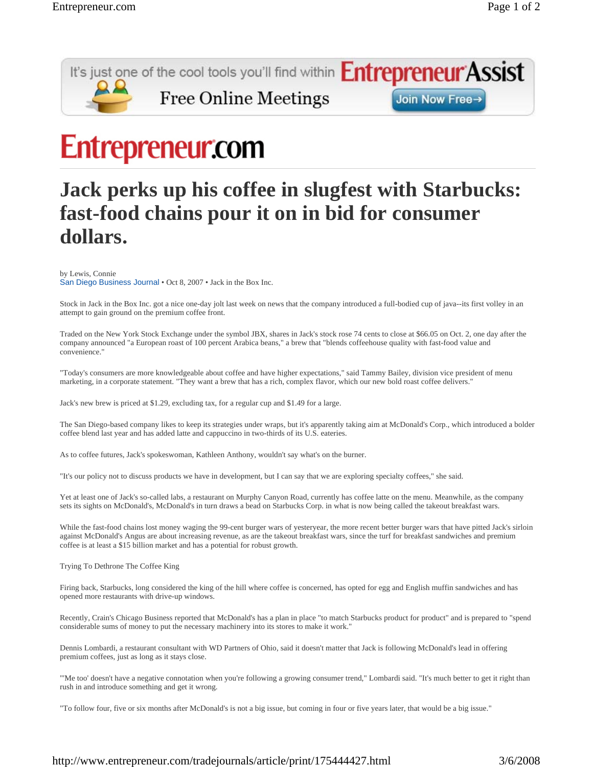

## **Entrepreneur.com**

## **Jack perks up his coffee in slugfest with Starbucks: fast-food chains pour it on in bid for consumer dollars.**

by Lewis, Connie

San Diego Business Journal • Oct 8, 2007 • Jack in the Box Inc.

Stock in Jack in the Box Inc. got a nice one-day jolt last week on news that the company introduced a full-bodied cup of java--its first volley in an attempt to gain ground on the premium coffee front.

Traded on the New York Stock Exchange under the symbol JBX, shares in Jack's stock rose 74 cents to close at \$66.05 on Oct. 2, one day after the company announced "a European roast of 100 percent Arabica beans," a brew that "blends coffeehouse quality with fast-food value and convenience."

"Today's consumers are more knowledgeable about coffee and have higher expectations," said Tammy Bailey, division vice president of menu marketing, in a corporate statement. "They want a brew that has a rich, complex flavor, which our new bold roast coffee delivers."

Jack's new brew is priced at \$1.29, excluding tax, for a regular cup and \$1.49 for a large.

The San Diego-based company likes to keep its strategies under wraps, but it's apparently taking aim at McDonald's Corp., which introduced a bolder coffee blend last year and has added latte and cappuccino in two-thirds of its U.S. eateries.

As to coffee futures, Jack's spokeswoman, Kathleen Anthony, wouldn't say what's on the burner.

"It's our policy not to discuss products we have in development, but I can say that we are exploring specialty coffees," she said.

Yet at least one of Jack's so-called labs, a restaurant on Murphy Canyon Road, currently has coffee latte on the menu. Meanwhile, as the company sets its sights on McDonald's, McDonald's in turn draws a bead on Starbucks Corp. in what is now being called the takeout breakfast wars.

While the fast-food chains lost money waging the 99-cent burger wars of yesteryear, the more recent better burger wars that have pitted Jack's sirloin against McDonald's Angus are about increasing revenue, as are the takeout breakfast wars, since the turf for breakfast sandwiches and premium coffee is at least a \$15 billion market and has a potential for robust growth.

Trying To Dethrone The Coffee King

Firing back, Starbucks, long considered the king of the hill where coffee is concerned, has opted for egg and English muffin sandwiches and has opened more restaurants with drive-up windows.

Recently, Crain's Chicago Business reported that McDonald's has a plan in place "to match Starbucks product for product" and is prepared to "spend considerable sums of money to put the necessary machinery into its stores to make it work."

Dennis Lombardi, a restaurant consultant with WD Partners of Ohio, said it doesn't matter that Jack is following McDonald's lead in offering premium coffees, just as long as it stays close.

"'Me too' doesn't have a negative connotation when you're following a growing consumer trend," Lombardi said. "It's much better to get it right than rush in and introduce something and get it wrong.

"To follow four, five or six months after McDonald's is not a big issue, but coming in four or five years later, that would be a big issue."

http://www.entrepreneur.com/tradejournals/article/print/175444427.html 3/6/2008